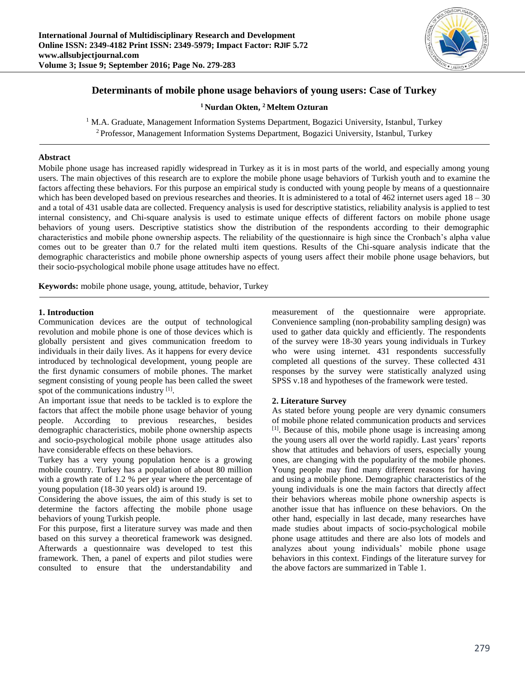

# **Determinants of mobile phone usage behaviors of young users: Case of Turkey**

**<sup>1</sup> Nurdan Okten, <sup>2</sup> Meltem Ozturan**

<sup>1</sup> M.A. Graduate, Management Information Systems Department, Bogazici University, Istanbul, Turkey

<sup>2</sup>Professor, Management Information Systems Department, Bogazici University, Istanbul, Turkey

### **Abstract**

Mobile phone usage has increased rapidly widespread in Turkey as it is in most parts of the world, and especially among young users. The main objectives of this research are to explore the mobile phone usage behaviors of Turkish youth and to examine the factors affecting these behaviors. For this purpose an empirical study is conducted with young people by means of a questionnaire which has been developed based on previous researches and theories. It is administered to a total of 462 internet users aged  $18 - 30$ and a total of 431 usable data are collected. Frequency analysis is used for descriptive statistics, reliability analysis is applied to test internal consistency, and Chi-square analysis is used to estimate unique effects of different factors on mobile phone usage behaviors of young users. Descriptive statistics show the distribution of the respondents according to their demographic characteristics and mobile phone ownership aspects. The reliability of the questionnaire is high since the Cronbach's alpha value comes out to be greater than 0.7 for the related multi item questions. Results of the Chi-square analysis indicate that the demographic characteristics and mobile phone ownership aspects of young users affect their mobile phone usage behaviors, but their socio-psychological mobile phone usage attitudes have no effect.

**Keywords:** mobile phone usage, young, attitude, behavior, Turkey

# **1. Introduction**

Communication devices are the output of technological revolution and mobile phone is one of those devices which is globally persistent and gives communication freedom to individuals in their daily lives. As it happens for every device introduced by technological development, young people are the first dynamic consumers of mobile phones. The market segment consisting of young people has been called the sweet spot of the communications industry [1].

An important issue that needs to be tackled is to explore the factors that affect the mobile phone usage behavior of young people. According to previous researches, besides demographic characteristics, mobile phone ownership aspects and socio-psychological mobile phone usage attitudes also have considerable effects on these behaviors.

Turkey has a very young population hence is a growing mobile country. Turkey has a population of about 80 million with a growth rate of 1.2 % per year where the percentage of young population (18-30 years old) is around 19.

Considering the above issues, the aim of this study is set to determine the factors affecting the mobile phone usage behaviors of young Turkish people.

For this purpose, first a literature survey was made and then based on this survey a theoretical framework was designed. Afterwards a questionnaire was developed to test this framework. Then, a panel of experts and pilot studies were consulted to ensure that the understandability and

measurement of the questionnaire were appropriate. Convenience sampling (non-probability sampling design) was used to gather data quickly and efficiently. The respondents of the survey were 18-30 years young individuals in Turkey who were using internet. 431 respondents successfully completed all questions of the survey. These collected 431 responses by the survey were statistically analyzed using SPSS v.18 and hypotheses of the framework were tested.

# **2. Literature Survey**

As stated before young people are very dynamic consumers of mobile phone related communication products and services [1]. Because of this, mobile phone usage is increasing among the young users all over the world rapidly. Last years' reports show that attitudes and behaviors of users, especially young ones, are changing with the popularity of the mobile phones. Young people may find many different reasons for having and using a mobile phone. Demographic characteristics of the young individuals is one the main factors that directly affect their behaviors whereas mobile phone ownership aspects is another issue that has influence on these behaviors. On the other hand, especially in last decade, many researches have made studies about impacts of socio-psychological mobile phone usage attitudes and there are also lots of models and analyzes about young individuals' mobile phone usage behaviors in this context. Findings of the literature survey for the above factors are summarized in Table 1.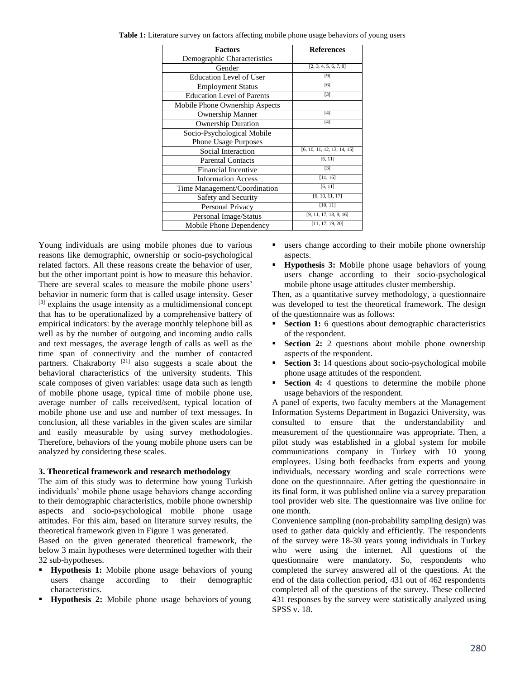| <b>Factors</b>                    | <b>References</b>           |
|-----------------------------------|-----------------------------|
| Demographic Characteristics       |                             |
| Gender                            | [2, 3, 4, 5, 6, 7, 8]       |
| <b>Education Level of User</b>    | $[9]$                       |
| <b>Employment Status</b>          | [6]                         |
| <b>Education Level of Parents</b> | $[3]$                       |
| Mobile Phone Ownership Aspects    |                             |
| <b>Ownership Manner</b>           | [4]                         |
| <b>Ownership Duration</b>         | [4]                         |
| Socio-Psychological Mobile        |                             |
| Phone Usage Purposes              |                             |
| Social Interaction                | [6, 10, 11, 12, 13, 14, 15] |
| <b>Parental Contacts</b>          | [6, 11]                     |
| <b>Financial Incentive</b>        | [3]                         |
| <b>Information Access</b>         | [11, 16]                    |
| Time Management/Coordination      | [6, 11]                     |
| Safety and Security               | [6, 10, 11, 17]             |
| Personal Privacy                  | [10, 11]                    |
| Personal Image/Status             | [9, 11, 17, 18, 8, 16]      |
| Mobile Phone Dependency           | [11, 17, 19, 20]            |

**Table 1:** Literature survey on factors affecting mobile phone usage behaviors of young users

Young individuals are using mobile phones due to various reasons like demographic, ownership or socio-psychological related factors. All these reasons create the behavior of user, but the other important point is how to measure this behavior. There are several scales to measure the mobile phone users' behavior in numeric form that is called usage intensity. Geser  $[3]$  explains the usage intensity as a multidimensional concept that has to be operationalized by a comprehensive battery of empirical indicators: by the average monthly telephone bill as well as by the number of outgoing and incoming audio calls and text messages, the average length of calls as well as the time span of connectivity and the number of contacted partners. Chakraborty  $[21]$  also suggests a scale about the behavioral characteristics of the university students. This scale composes of given variables: usage data such as length of mobile phone usage, typical time of mobile phone use, average number of calls received/sent, typical location of mobile phone use and use and number of text messages. In conclusion, all these variables in the given scales are similar and easily measurable by using survey methodologies. Therefore, behaviors of the young mobile phone users can be analyzed by considering these scales.

#### **3. Theoretical framework and research methodology**

The aim of this study was to determine how young Turkish individuals' mobile phone usage behaviors change according to their demographic characteristics, mobile phone ownership aspects and socio-psychological mobile phone usage attitudes. For this aim, based on literature survey results, the theoretical framework given in Figure 1 was generated.

Based on the given generated theoretical framework, the below 3 main hypotheses were determined together with their 32 sub-hypotheses.

- **Hypothesis 1:** Mobile phone usage behaviors of young users change according to their demographic characteristics.
- **Hypothesis 2:** Mobile phone usage behaviors of young
- users change according to their mobile phone ownership aspects.
- **Hypothesis 3:** Mobile phone usage behaviors of young users change according to their socio-psychological mobile phone usage attitudes cluster membership.

Then, as a quantitative survey methodology, a questionnaire was developed to test the theoretical framework. The design of the questionnaire was as follows:

- **Section 1:** 6 questions about demographic characteristics of the respondent.
- **Section 2:** 2 questions about mobile phone ownership aspects of the respondent.
- **Section 3:** 14 questions about socio-psychological mobile phone usage attitudes of the respondent.
- **Section 4:** 4 questions to determine the mobile phone usage behaviors of the respondent.

A panel of experts, two faculty members at the Management Information Systems Department in Bogazici University, was consulted to ensure that the understandability and measurement of the questionnaire was appropriate. Then, a pilot study was established in a global system for mobile communications company in Turkey with 10 young employees. Using both feedbacks from experts and young individuals, necessary wording and scale corrections were done on the questionnaire. After getting the questionnaire in its final form, it was published online via a survey preparation tool provider web site. The questionnaire was live online for one month.

Convenience sampling (non-probability sampling design) was used to gather data quickly and efficiently. The respondents of the survey were 18-30 years young individuals in Turkey who were using the internet. All questions of the questionnaire were mandatory. So, respondents who completed the survey answered all of the questions. At the end of the data collection period, 431 out of 462 respondents completed all of the questions of the survey. These collected 431 responses by the survey were statistically analyzed using SPSS v. 18.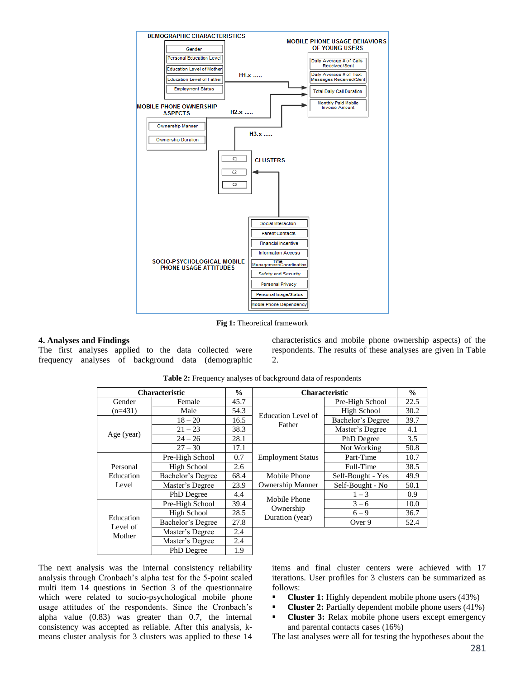

**Fig 1:** Theoretical framework

### **4. Analyses and Findings**

The first analyses applied to the data collected were frequency analyses of background data (demographic

characteristics and mobile phone ownership aspects) of the respondents. The results of these analyses are given in Table 2.

| <b>Characteristic</b>           |                   | $\frac{0}{0}$ | <b>Characteristic</b>        |                   | $\frac{0}{0}$ |
|---------------------------------|-------------------|---------------|------------------------------|-------------------|---------------|
| Gender                          | Female            | 45.7          |                              | Pre-High School   | 22.5          |
| $(n=431)$                       | Male              | 54.3          | <b>Education Level of</b>    | High School       | 30.2          |
| Age (year)                      | $18 - 20$         | 16.5          | Father                       | Bachelor's Degree | 39.7          |
|                                 | $21 - 23$         | 38.3          |                              | Master's Degree   | 4.1           |
|                                 | $24 - 26$         | 28.1          |                              | PhD Degree        | 3.5           |
|                                 | $27 - 30$         | 17.1          |                              | Not Working       | 50.8          |
| Personal<br>Education<br>Level  | Pre-High School   | 0.7           | <b>Employment Status</b>     | Part-Time         | 10.7          |
|                                 | High School       | 2.6           |                              | Full-Time         | 38.5          |
|                                 | Bachelor's Degree | 68.4          | Mobile Phone                 | Self-Bought - Yes | 49.9          |
|                                 | Master's Degree   | 23.9          | <b>Ownership Manner</b>      | Self-Bought - No  | 50.1          |
|                                 | PhD Degree        | 4.4           | Mobile Phone                 | $1 - 3$           | 0.9           |
| Education<br>Level of<br>Mother | Pre-High School   | 39.4          |                              | $3 - 6$           | 10.0          |
|                                 | High School       | 28.5          | Ownership<br>Duration (year) | $6 - 9$           | 36.7          |
|                                 | Bachelor's Degree | 27.8          |                              | Over 9            | 52.4          |
|                                 | Master's Degree   | 2.4           |                              |                   |               |
|                                 | Master's Degree   | 2.4           |                              |                   |               |
|                                 | PhD Degree        | 1.9           |                              |                   |               |

**Table 2:** Frequency analyses of background data of respondents

The next analysis was the internal consistency reliability analysis through Cronbach's alpha test for the 5-point scaled multi item 14 questions in Section 3 of the questionnaire which were related to socio-psychological mobile phone usage attitudes of the respondents. Since the Cronbach's alpha value (0.83) was greater than 0.7, the internal consistency was accepted as reliable. After this analysis, kmeans cluster analysis for 3 clusters was applied to these 14

items and final cluster centers were achieved with 17 iterations. User profiles for 3 clusters can be summarized as follows:

- **Cluster 1:** Highly dependent mobile phone users (43%)
- **Cluster 2:** Partially dependent mobile phone users (41%)
- **Cluster 3:** Relax mobile phone users except emergency and parental contacts cases (16%)

The last analyses were all for testing the hypotheses about the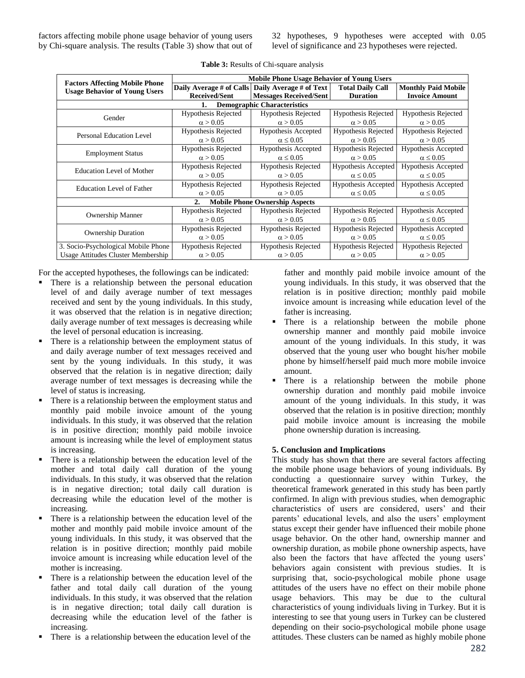factors affecting mobile phone usage behavior of young users by Chi-square analysis. The results (Table 3) show that out of 32 hypotheses, 9 hypotheses were accepted with 0.05 level of significance and 23 hypotheses were rejected.

|                                                                               | <b>Mobile Phone Usage Behavior of Young Users</b> |                                                    |                            |                            |  |  |
|-------------------------------------------------------------------------------|---------------------------------------------------|----------------------------------------------------|----------------------------|----------------------------|--|--|
| <b>Factors Affecting Mobile Phone</b><br><b>Usage Behavior of Young Users</b> |                                                   | Daily Average # of Calls   Daily Average # of Text | <b>Total Daily Call</b>    | <b>Monthly Paid Mobile</b> |  |  |
|                                                                               | <b>Received/Sent</b>                              | <b>Messages Received/Sent</b>                      | <b>Duration</b>            | <b>Invoice Amount</b>      |  |  |
| <b>Demographic Characteristics</b><br>1.                                      |                                                   |                                                    |                            |                            |  |  |
| Gender                                                                        | <b>Hypothesis Rejected</b>                        | <b>Hypothesis Rejected</b>                         | <b>Hypothesis Rejected</b> | <b>Hypothesis Rejected</b> |  |  |
|                                                                               | $\alpha > 0.05$                                   | $\alpha > 0.05$                                    | $\alpha > 0.05$            | $\alpha > 0.05$            |  |  |
| Personal Education Level                                                      | Hypothesis Rejected                               | Hypothesis Accepted                                | <b>Hypothesis Rejected</b> | <b>Hypothesis Rejected</b> |  |  |
|                                                                               | $\alpha > 0.05$                                   | $\alpha \leq 0.05$                                 | $\alpha > 0.05$            | $\alpha > 0.05$            |  |  |
| <b>Employment Status</b>                                                      | Hypothesis Rejected                               | Hypothesis Accepted                                | <b>Hypothesis Rejected</b> | Hypothesis Accepted        |  |  |
|                                                                               | $\alpha > 0.05$                                   | $\alpha \leq 0.05$                                 | $\alpha > 0.05$            | $\alpha \leq 0.05$         |  |  |
| <b>Education Level of Mother</b>                                              | Hypothesis Rejected                               | Hypothesis Rejected                                | Hypothesis Accepted        | Hypothesis Accepted        |  |  |
|                                                                               | $\alpha > 0.05$                                   | $\alpha > 0.05$                                    | $\alpha \leq 0.05$         | $\alpha \leq 0.05$         |  |  |
|                                                                               | Hypothesis Rejected                               | <b>Hypothesis Rejected</b>                         | <b>Hypothesis Accepted</b> | Hypothesis Accepted        |  |  |
| <b>Education Level of Father</b>                                              | $\alpha > 0.05$                                   | $\alpha > 0.05$                                    | $\alpha \leq 0.05$         | $\alpha \leq 0.05$         |  |  |
| <b>Mobile Phone Ownership Aspects</b><br>$\overline{2}$ .                     |                                                   |                                                    |                            |                            |  |  |
| <b>Ownership Manner</b>                                                       | Hypothesis Rejected                               | <b>Hypothesis Rejected</b>                         | <b>Hypothesis Rejected</b> | Hypothesis Accepted        |  |  |
|                                                                               | $\alpha > 0.05$                                   | $\alpha > 0.05$                                    | $\alpha > 0.05$            | $\alpha \leq 0.05$         |  |  |
| <b>Ownership Duration</b>                                                     | Hypothesis Rejected                               | <b>Hypothesis Rejected</b>                         | Hypothesis Rejected        | Hypothesis Accepted        |  |  |
|                                                                               | $\alpha > 0.05$                                   | $\alpha > 0.05$                                    | $\alpha > 0.05$            | $\alpha \leq 0.05$         |  |  |
| 3. Socio-Psychological Mobile Phone                                           | Hypothesis Rejected                               | Hypothesis Rejected                                | <b>Hypothesis Rejected</b> | <b>Hypothesis Rejected</b> |  |  |
| Usage Attitudes Cluster Membership                                            | $\alpha > 0.05$                                   | $\alpha > 0.05$                                    | $\alpha > 0.05$            | $\alpha > 0.05$            |  |  |

|  |  |  | <b>Table 3:</b> Results of Chi-square analysis |
|--|--|--|------------------------------------------------|
|  |  |  |                                                |

For the accepted hypotheses, the followings can be indicated:

- There is a relationship between the personal education level of and daily average number of text messages received and sent by the young individuals. In this study, it was observed that the relation is in negative direction; daily average number of text messages is decreasing while the level of personal education is increasing.
- There is a relationship between the employment status of and daily average number of text messages received and sent by the young individuals. In this study, it was observed that the relation is in negative direction; daily average number of text messages is decreasing while the level of status is increasing.
- There is a relationship between the employment status and monthly paid mobile invoice amount of the young individuals. In this study, it was observed that the relation is in positive direction; monthly paid mobile invoice amount is increasing while the level of employment status is increasing.
- There is a relationship between the education level of the mother and total daily call duration of the young individuals. In this study, it was observed that the relation is in negative direction; total daily call duration is decreasing while the education level of the mother is increasing.
- There is a relationship between the education level of the mother and monthly paid mobile invoice amount of the young individuals. In this study, it was observed that the relation is in positive direction; monthly paid mobile invoice amount is increasing while education level of the mother is increasing.
- There is a relationship between the education level of the father and total daily call duration of the young individuals. In this study, it was observed that the relation is in negative direction; total daily call duration is decreasing while the education level of the father is increasing.
- There is a relationship between the education level of the

father and monthly paid mobile invoice amount of the young individuals. In this study, it was observed that the relation is in positive direction; monthly paid mobile invoice amount is increasing while education level of the father is increasing.

- **There** is a relationship between the mobile phone ownership manner and monthly paid mobile invoice amount of the young individuals. In this study, it was observed that the young user who bought his/her mobile phone by himself/herself paid much more mobile invoice amount.
- There is a relationship between the mobile phone ownership duration and monthly paid mobile invoice amount of the young individuals. In this study, it was observed that the relation is in positive direction; monthly paid mobile invoice amount is increasing the mobile phone ownership duration is increasing.

# **5. Conclusion and Implications**

This study has shown that there are several factors affecting the mobile phone usage behaviors of young individuals. By conducting a questionnaire survey within Turkey, the theoretical framework generated in this study has been partly confirmed. In align with previous studies, when demographic characteristics of users are considered, users' and their parents' educational levels, and also the users' employment status except their gender have influenced their mobile phone usage behavior. On the other hand, ownership manner and ownership duration, as mobile phone ownership aspects, have also been the factors that have affected the young users' behaviors again consistent with previous studies. It is surprising that, socio-psychological mobile phone usage attitudes of the users have no effect on their mobile phone usage behaviors. This may be due to the cultural characteristics of young individuals living in Turkey. But it is interesting to see that young users in Turkey can be clustered depending on their socio-psychological mobile phone usage attitudes. These clusters can be named as highly mobile phone